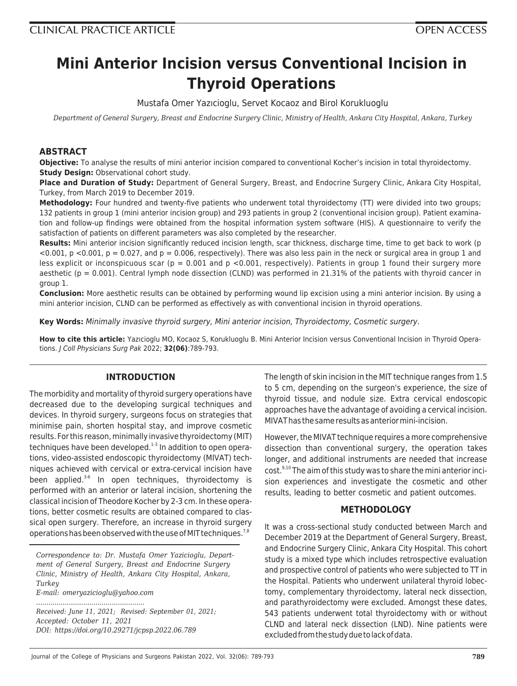# **Mini Anterior Incision versus Conventional Incision in Thyroid Operations**

Mustafa Omer Yazıcioglu, Servet Kocaoz and Birol Korukluoglu

*Department of General Surgery, Breast and Endocrine Surgery Clinic, Ministry of Health, Ankara City Hospital, Ankara, Turkey*

# **ABSTRACT**

**Objective:** To analyse the results of mini anterior incision compared to conventional Kocher's incision in total thyroidectomy. **Study Design:** Observational cohort study.

**Place and Duration of Study:** Department of General Surgery, Breast, and Endocrine Surgery Clinic, Ankara City Hospital, Turkey, from March 2019 to December 2019.

**Methodology:** Four hundred and twenty-five patients who underwent total thyroidectomy (TT) were divided into two groups; 132 patients in group 1 (mini anterior incision group) and 293 patients in group 2 (conventional incision group). Patient examination and follow-up findings were obtained from the hospital information system software (HIS). A questionnaire to verify the satisfaction of patients on different parameters was also completed by the researcher.

**Results:** Mini anterior incision significantly reduced incision length, scar thickness, discharge time, time to get back to work (p  $<$ 0.001, p  $<$ 0.001, p = 0.027, and p = 0.006, respectively). There was also less pain in the neck or surgical area in group 1 and less explicit or inconspicuous scar ( $p = 0.001$  and  $p < 0.001$ , respectively). Patients in group 1 found their surgery more aesthetic ( $p = 0.001$ ). Central lymph node dissection (CLND) was performed in 21.31% of the patients with thyroid cancer in group 1.

**Conclusion:** More aesthetic results can be obtained by performing wound lip excision using a mini anterior incision. By using a mini anterior incision, CLND can be performed as effectively as with conventional incision in thyroid operations.

**Key Words:** Minimally invasive thyroid surgery, Mini anterior incision, Thyroidectomy, Cosmetic surgery.

**How to cite this article:** Yazıcioglu MO, Kocaoz S, Korukluoglu B. Mini Anterior Incision versus Conventional Incision in Thyroid Operations. J Coll Physicians Surg Pak 2022; **32(06)**:789-793.

# **INTRODUCTION**

The morbidity and mortality of thyroid surgery operations have decreased due to the developing surgical techniques and devices. In thyroid surgery, surgeons focus on strategies that minimise pain, shorten hospital stay, and improve cosmetic results. For this reason, minimally invasive thyroidectomy (MIT) techniques have been developed. $1-3$  In addition to open operations, video-assisted endoscopic thyroidectomy (MIVAT) techniques achieved with cervical or extra-cervical incision have been applied. $3-6$  In open techniques, thyroidectomy is performed with an anterior or lateral incision, shortening the classical incision of Theodore Kocher by 2-3 cm. In these operations, better cosmetic results are obtained compared to classical open surgery. Therefore, an increase in thyroid surgery operations has been observed with the use of MIT techniques.<sup>7,8</sup>

*Correspondence to: Dr. Mustafa Omer Yazicioglu, Department of General Surgery, Breast and Endocrine Surgery Clinic, Ministry of Health, Ankara City Hospital, Ankara, Turkey E-mail: omeryazicioglu@yahoo.com*

*.....................................................*

*Received: June 11, 2021; Revised: September 01, 2021; Accepted: October 11, 2021 DOI: https://doi.org/10.29271/jcpsp.2022.06.789*

The length of skin incision in the MIT technique ranges from 1.5 to 5 cm, depending on the surgeon's experience, the size of thyroid tissue, and nodule size. Extra cervical endoscopic approaches have the advantage of avoiding a cervical incision. MIVAT has the same results as anterior mini-incision.

However, the MIVAT technique requires a more comprehensive dissection than conventional surgery, the operation takes longer, and additional instruments are needed that increase cost.<sup>9,10</sup> The aim of this study was to share the mini anterior incision experiences and investigate the cosmetic and other results, leading to better cosmetic and patient outcomes.

# **METHODOLOGY**

It was a cross-sectional study conducted between March and December 2019 at the Department of General Surgery, Breast, and Endocrine Surgery Clinic, Ankara City Hospital. This cohort study is a mixed type which includes retrospective evaluation and prospective control of patients who were subjected to TT in the Hospital. Patients who underwent unilateral thyroid lobectomy, complementary thyroidectomy, lateral neck dissection, and parathyroidectomy were excluded. Amongst these dates, 543 patients underwent total thyroidectomy with or without CLND and lateral neck dissection (LND). Nine patients were excluded from the study due to lack of data.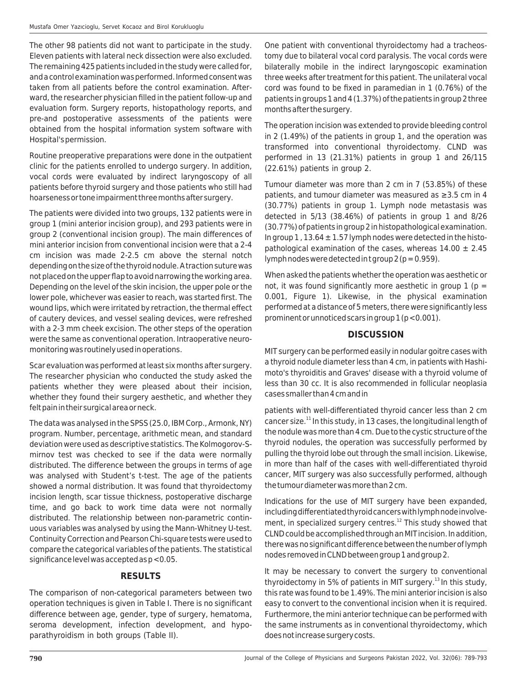The other 98 patients did not want to participate in the study. Eleven patients with lateral neck dissection were also excluded. The remaining 425 patients included in the study were called for, and a control examination was performed. Informed consent was taken from all patients before the control examination. Afterward, the researcher physician filled in the patient follow-up and evaluation form. Surgery reports, histopathology reports, and pre-and postoperative assessments of the patients were obtained from the hospital information system software with Hospital's permission.

Routine preoperative preparations were done in the outpatient clinic for the patients enrolled to undergo surgery. In addition, vocal cords were evaluated by indirect laryngoscopy of all patients before thyroid surgery and those patients who still had hoarseness or tone impairment three months after surgery.

The patients were divided into two groups, 132 patients were in group 1 (mini anterior incision group), and 293 patients were in group 2 (conventional incision group). The main differences of mini anterior incision from conventional incision were that a 2-4 cm incision was made 2-2.5 cm above the sternal notch depending on the size of the thyroid nodule. A traction suture was not placed on the upper flap to avoid narrowing the working area. Depending on the level of the skin incision, the upper pole or the lower pole, whichever was easier to reach, was started first. The wound lips, which were irritated by retraction, the thermal effect of cautery devices, and vessel sealing devices, were refreshed with a 2-3 mm cheek excision. The other steps of the operation were the same as conventional operation. Intraoperative neuromonitoring was routinely used in operations.

Scar evaluation was performed at least six months after surgery. The researcher physician who conducted the study asked the patients whether they were pleased about their incision, whether they found their surgery aesthetic, and whether they felt pain in their surgical area or neck.

The data was analysed in the SPSS (25.0, IBM Corp., Armonk, NY) program. Number, percentage, arithmetic mean, and standard deviation were used as descriptive statistics. The Kolmogorov-Smirnov test was checked to see if the data were normally distributed. The difference between the groups in terms of age was analysed with Student's t-test. The age of the patients showed a normal distribution. It was found that thyroidectomy incision length, scar tissue thickness, postoperative discharge time, and go back to work time data were not normally distributed. The relationship between non-parametric continuous variables was analysed by using the Mann-Whitney U-test. Continuity Correction and Pearson Chi-square tests were used to compare the categorical variables of the patients. The statistical significance level was accepted as p <0.05.

# **RESULTS**

The comparison of non-categorical parameters between two operation techniques is given in Table I. There is no significant difference between age, gender, type of surgery, hematoma, seroma development, infection development, and hypoparathyroidism in both groups (Table II).

One patient with conventional thyroidectomy had a tracheostomy due to bilateral vocal cord paralysis. The vocal cords were bilaterally mobile in the indirect laryngoscopic examination three weeks after treatment for this patient. The unilateral vocal cord was found to be fixed in paramedian in 1 (0.76%) of the patients in groups 1 and 4 (1.37%) of the patients in group 2 three months after the surgery.

The operation incision was extended to provide bleeding control in 2 (1.49%) of the patients in group 1, and the operation was transformed into conventional thyroidectomy. CLND was performed in 13 (21.31%) patients in group 1 and 26/115 (22.61%) patients in group 2.

Tumour diameter was more than 2 cm in 7 (53.85%) of these patients, and tumour diameter was measured as ≥3.5 cm in 4 (30.77%) patients in group 1. Lymph node metastasis was detected in 5/13 (38.46%) of patients in group 1 and 8/26 (30.77%) of patients in group 2 in histopathological examination. In group  $1$ ,  $13.64 \pm 1.57$  lymph nodes were detected in the histopathological examination of the cases, whereas  $14.00 \pm 2.45$ lymph nodes were detected in t group  $2$  ( $p = 0.959$ ).

When asked the patients whether the operation was aesthetic or not, it was found significantly more aesthetic in group  $1$  (p = 0.001, Figure 1). Likewise, in the physical examination performed at a distance of 5 meters, there were significantly less prominent or unnoticed scars in group  $1 (p < 0.001)$ .

# **DISCUSSION**

MIT surgery can be performed easily in nodular goitre cases with a thyroid nodule diameter less than 4 cm, in patients with Hashimoto's thyroiditis and Graves' disease with a thyroid volume of less than 30 cc. It is also recommended in follicular neoplasia cases smaller than 4 cm and in

patients with well-differentiated thyroid cancer less than 2 cm cancer size.<sup>11</sup> In this study, in 13 cases, the longitudinal length of the nodule was more than 4 cm. Due to the cystic structure of the thyroid nodules, the operation was successfully performed by pulling the thyroid lobe out through the small incision. Likewise, in more than half of the cases with well-differentiated thyroid cancer, MIT surgery was also successfully performed, although the tumour diameter was more than 2 cm.

Indications for the use of MIT surgery have been expanded, including differentiated thyroid cancers with lymph node involvement, in specialized surgery centres. $12$  This study showed that CLND could be accomplished through an MIT incision. In addition, there was no significant difference between the number of lymph nodes removed in CLND between group 1 and group 2.

It may be necessary to convert the surgery to conventional thyroidectomy in 5% of patients in MIT surgery.<sup>13</sup> In this study, this rate was found to be 1.49%. The mini anterior incision is also easy to convert to the conventional incision when it is required. Furthermore, the mini anterior technique can be performed with the same instruments as in conventional thyroidectomy, which does not increase surgery costs.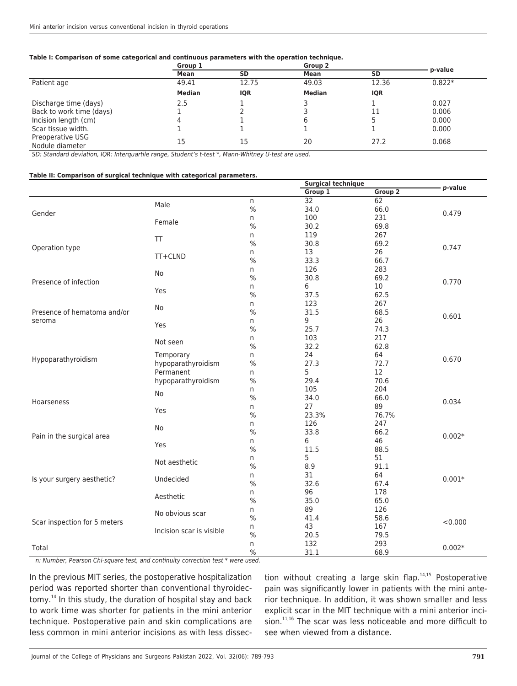#### **Table I: Comparison of some categorical and continuous parameters with the operation technique.**

|                                     | Group 1 |            | Group 2       |            |          |
|-------------------------------------|---------|------------|---------------|------------|----------|
|                                     | Mean    | <b>SD</b>  | Mean          | <b>SD</b>  | p-value  |
| Patient age                         | 49.41   | 12.75      | 49.03         | 12.36      | $0.822*$ |
|                                     | Median  | <b>IQR</b> | <b>Median</b> | <b>IQR</b> |          |
| Discharge time (days)               | 2.5     |            |               |            | 0.027    |
| Back to work time (days)            |         |            |               | 11         | 0.006    |
| Incision length (cm)                | 4       |            |               |            | 0.000    |
| Scar tissue width.                  |         |            |               |            | 0.000    |
| Preoperative USG<br>Nodule diameter | 15      | 15         | 20            | 27.2       | 0.068    |

SD: Standard deviation, IQR: Interquartile range, Student's t-test \*, Mann-Whitney U-test are used.

#### **Table II: Comparison of surgical technique with categorical parameters.**

|                                                                |                          |               |         | <b>Surgical technique</b> |                |
|----------------------------------------------------------------|--------------------------|---------------|---------|---------------------------|----------------|
|                                                                |                          |               | Group 1 | Group <sub>2</sub>        | - p-value      |
| Gender                                                         |                          | n             | 32      | 62                        |                |
|                                                                | Male<br>Female           | $\%$          | 34.0    | 66.0                      | 0.479          |
|                                                                |                          | n             | 100     | 231                       |                |
|                                                                |                          | $\%$          | 30.2    | 69.8                      |                |
| Operation type                                                 |                          | n             | 119     | 267                       | 0.747          |
|                                                                | $\top$                   | $\frac{0}{0}$ | 30.8    | 69.2                      |                |
|                                                                |                          | n             | 13      | 26                        |                |
|                                                                | TT+CLND                  | $\%$          | 33.3    | 66.7                      |                |
| Presence of infection<br>Presence of hematoma and/or<br>seroma | No<br>Yes<br>No<br>Yes   | n             | 126     | 283                       | 0.770<br>0.601 |
|                                                                |                          | $\%$          | 30.8    | 69.2                      |                |
|                                                                |                          | n             | 6       | 10                        |                |
|                                                                |                          | $\%$          | 37.5    | 62.5                      |                |
|                                                                |                          | n             | 123     | 267                       |                |
|                                                                |                          | $\%$          | 31.5    | 68.5                      |                |
|                                                                |                          |               | 9       |                           |                |
|                                                                |                          | n             |         | 26                        |                |
|                                                                |                          | $\frac{0}{0}$ | 25.7    | 74.3                      |                |
| Hypoparathyroidism                                             | Not seen                 | n             | 103     | 217                       | 0.670          |
|                                                                |                          | $\%$          | 32.2    | 62.8                      |                |
|                                                                | Temporary                | n             | 24      | 64                        |                |
|                                                                | hypoparathyroidism       | $\%$          | 27.3    | 72.7                      |                |
|                                                                | Permanent                | n             | 5       | 12                        |                |
|                                                                | hypoparathyroidism       | $\%$          | 29.4    | 70.6                      |                |
| Hoarseness                                                     | No                       | n             | 105     | 204                       | 0.034          |
|                                                                |                          | $\%$          | 34.0    | 66.0                      |                |
|                                                                | Yes                      | n             | 27      | 89                        |                |
|                                                                |                          | $\frac{0}{0}$ | 23.3%   | 76.7%                     |                |
| Pain in the surgical area                                      |                          | n             | 126     | 247                       |                |
|                                                                | No                       | $\%$          | 33.8    | 66.2                      | $0.002*$       |
|                                                                |                          | n             | 6       | 46                        |                |
|                                                                | Yes                      | $\%$          | 11.5    | 88.5                      |                |
| Is your surgery aesthetic?<br>Scar inspection for 5 meters     | Not aesthetic            | n             | 5       | 51                        |                |
|                                                                |                          | $\frac{0}{0}$ | 8.9     | 91.1                      |                |
|                                                                | Undecided                | n             | 31      | 64                        |                |
|                                                                |                          | $\%$          | 32.6    | 67.4                      | $0.001*$       |
|                                                                | Aesthetic                | n             | 96      | 178                       |                |
|                                                                |                          | $\%$          | 35.0    | 65.0                      |                |
|                                                                |                          | n             | 89      | 126                       |                |
|                                                                | No obvious scar          | $\frac{0}{0}$ | 41.4    | 58.6                      | < 0.000        |
|                                                                | Incision scar is visible | n             | 43      | 167                       |                |
|                                                                |                          | $\%$          | 20.5    | 79.5                      |                |
|                                                                |                          |               | 132     | 293                       | $0.002*$       |
| Total                                                          |                          | n             |         |                           |                |
|                                                                |                          | $\%$          | 31.1    | 68.9                      |                |

n: Number, Pearson Chi-square test, and continuity correction test \* were used.

In the previous MIT series, the postoperative hospitalization period was reported shorter than conventional thyroidectomy.<sup>14</sup> In this study, the duration of hospital stay and back to work time was shorter for patients in the mini anterior technique. Postoperative pain and skin complications are less common in mini anterior incisions as with less dissection without creating a large skin flap. $14,15$  Postoperative pain was significantly lower in patients with the mini anterior technique. In addition, it was shown smaller and less explicit scar in the MIT technique with a mini anterior incision.<sup>11,16</sup> The scar was less noticeable and more difficult to see when viewed from a distance.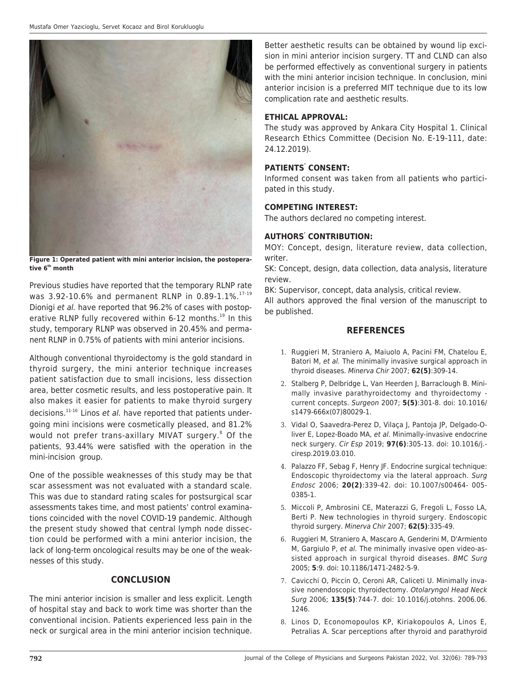

**Figure 1: Operated patient with mini anterior incision, the postoperative 6th month**

Previous studies have reported that the temporary RLNP rate was 3.92-10.6% and permanent RLNP in 0.89-1.1%.<sup>17-19</sup> Dionigi et al. have reported that 96.2% of cases with postoperative RLNP fully recovered within 6-12 months.<sup>19</sup> In this study, temporary RLNP was observed in 20.45% and permanent RLNP in 0.75% of patients with mini anterior incisions.

Although conventional thyroidectomy is the gold standard in thyroid surgery, the mini anterior technique increases patient satisfaction due to small incisions, less dissection area, better cosmetic results, and less postoperative pain. It also makes it easier for patients to make thyroid surgery decisions. $11-16$  Linos et al. have reported that patients undergoing mini incisions were cosmetically pleased, and 81.2% would not prefer trans-axillary MIVAT surgery.<sup>8</sup> Of the patients, 93.44% were satisfied with the operation in the mini-incision group.

One of the possible weaknesses of this study may be that scar assessment was not evaluated with a standard scale. This was due to standard rating scales for postsurgical scar assessments takes time, and most patients' control examinations coincided with the novel COVID-19 pandemic. Although the present study showed that central lymph node dissection could be performed with a mini anterior incision, the lack of long-term oncological results may be one of the weaknesses of this study.

# **CONCLUSION**

The mini anterior incision is smaller and less explicit. Length of hospital stay and back to work time was shorter than the conventional incision. Patients experienced less pain in the neck or surgical area in the mini anterior incision technique.

Better aesthetic results can be obtained by wound lip excision in mini anterior incision surgery. TT and CLND can also be performed effectively as conventional surgery in patients with the mini anterior incision technique. In conclusion, mini anterior incision is a preferred MIT technique due to its low complication rate and aesthetic results.

## **ETHICAL APPROVAL:**

The study was approved by Ankara City Hospital 1. Clinical Research Ethics Committee (Decision No. E-19-111, date: 24.12.2019).

## **PATIENTS' CONSENT:**

Informed consent was taken from all patients who participated in this study.

### **COMPETING INTEREST:**

The authors declared no competing interest.

## **AUTHORS' CONTRIBUTION:**

MOY: Concept, design, literature review, data collection, writer.

SK: Concept, design, data collection, data analysis, literature review.

BK: Supervisor, concept, data analysis, critical review.

All authors approved the final version of the manuscript to be published.

# **REFERENCES**

- 1. Ruggieri M, Straniero A, Maiuolo A, Pacini FM, Chatelou E, Batori M, et al. The minimally invasive surgical approach in thyroid diseases. Minerva Chir 2007; **62(5)**:309-14.
- 2. Stalberg P, Delbridge L, Van Heerden J, Barraclough B. Minimally invasive parathyroidectomy and thyroidectomy current concepts. Surgeon 2007; **5(5)**:301-8. doi: 10.1016/ s1479-666x(07)80029-1.
- 3. Vidal O, Saavedra-Perez D, Vilaça J, Pantoja JP, Delgado-Oliver E, Lopez-Boado MA, et al. Minimally-invasive endocrine neck surgery. Cir Esp 2019; **97(6)**:305-13. doi: 10.1016/j. ciresp.2019.03.010.
- 4. Palazzo FF, Sebag F, Henry JF. Endocrine surgical technique: Endoscopic thyroidectomy via the lateral approach. Surg Endosc 2006; **20(2)**:339-42. doi: 10.1007/s00464- 005- 0385-1.
- 5. Miccoli P, Ambrosini CE, Materazzi G, Fregoli L, Fosso LA, Berti P. New technologies in thyroid surgery. Endoscopic thyroid surgery. Minerva Chir 2007; **62(5)**:335-49.
- 6. Ruggieri M, Straniero A, Mascaro A, Genderini M, D'Armiento M, Gargiulo P, et al. The minimally invasive open video-assisted approach in surgical thyroid diseases. BMC Surg 2005; **5**:9. doi: 10.1186/1471-2482-5-9.
- 7. Cavicchi O, Piccin O, Ceroni AR, Caliceti U. Minimally invasive nonendoscopic thyroidectomy. Otolaryngol Head Neck Surg 2006; **135(5)**:744-7. doi: 10.1016/j.otohns. 2006.06. 1246.
- 8. Linos D, Economopoulos KP, Kiriakopoulos A, Linos E, Petralias A. Scar perceptions after thyroid and parathyroid